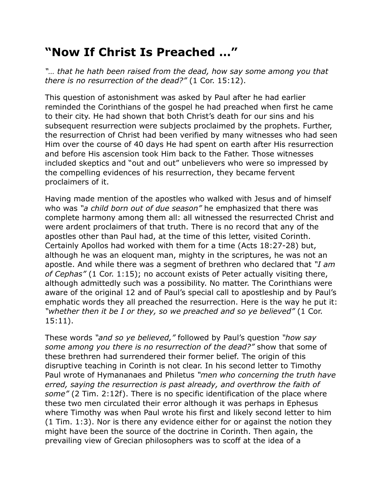## **"Now If Christ Is Preached …"**

*"… that he hath been raised from the dead, how say some among you that there is no resurrection of the dead?"* (1 Cor. 15:12).

This question of astonishment was asked by Paul after he had earlier reminded the Corinthians of the gospel he had preached when first he came to their city. He had shown that both Christ's death for our sins and his subsequent resurrection were subjects proclaimed by the prophets. Further, the resurrection of Christ had been verified by many witnesses who had seen Him over the course of 40 days He had spent on earth after His resurrection and before His ascension took Him back to the Father. Those witnesses included skeptics and "out and out" unbelievers who were so impressed by the compelling evidences of his resurrection, they became fervent proclaimers of it.

Having made mention of the apostles who walked with Jesus and of himself who was *"a child born out of due season"* he emphasized that there was complete harmony among them all: all witnessed the resurrected Christ and were ardent proclaimers of that truth. There is no record that any of the apostles other than Paul had, at the time of this letter, visited Corinth. Certainly Apollos had worked with them for a time (Acts 18:27-28) but, although he was an eloquent man, mighty in the scriptures, he was not an apostle. And while there was a segment of brethren who declared that *"I am of Cephas"* (1 Cor. 1:15); no account exists of Peter actually visiting there, although admittedly such was a possibility. No matter. The Corinthians were aware of the original 12 and of Paul's special call to apostleship and by Paul's emphatic words they all preached the resurrection. Here is the way he put it: *"whether then it be I or they, so we preached and so ye believed"* (1 Cor. 15:11).

These words *"and so ye believed,"* followed by Paul's question *"how say some among you there is no resurrection of the dead?"* show that some of these brethren had surrendered their former belief. The origin of this disruptive teaching in Corinth is not clear. In his second letter to Timothy Paul wrote of Hymananaes and Philetus *"men who concerning the truth have erred, saying the resurrection is past already, and overthrow the faith of some"* (2 Tim. 2:12f). There is no specific identification of the place where these two men circulated their error although it was perhaps in Ephesus where Timothy was when Paul wrote his first and likely second letter to him (1 Tim. 1:3). Nor is there any evidence either for or against the notion they might have been the source of the doctrine in Corinth. Then again, the prevailing view of Grecian philosophers was to scoff at the idea of a